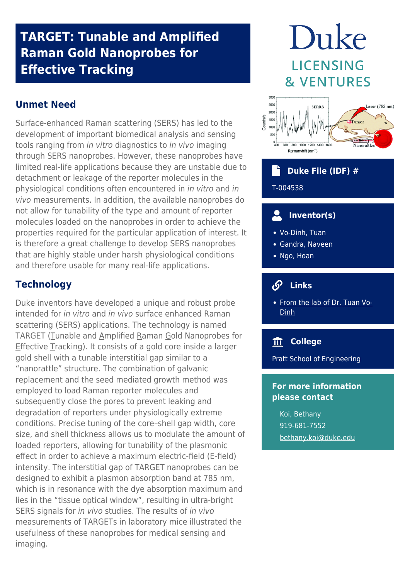### **TARGET: Tunable and Amplified Raman Gold Nanoprobes for Effective Tracking**

#### **Unmet Need**

Surface-enhanced Raman scattering (SERS) has led to the development of important biomedical analysis and sensing tools ranging from in vitro diagnostics to in vivo imaging through SERS nanoprobes. However, these nanoprobes have limited real-life applications because they are unstable due to detachment or leakage of the reporter molecules in the physiological conditions often encountered in in vitro and in vivo measurements. In addition, the available nanoprobes do not allow for tunability of the type and amount of reporter molecules loaded on the nanoprobes in order to achieve the properties required for the particular application of interest. It is therefore a great challenge to develop SERS nanoprobes that are highly stable under harsh physiological conditions and therefore usable for many real-life applications.

#### **Technology**

Duke inventors have developed a unique and robust probe intended for in vitro and in vivo surface enhanced Raman scattering (SERS) applications. The technology is named TARGET (Tunable and Amplified Raman Gold Nanoprobes for Effective Tracking). It consists of a gold core inside a larger gold shell with a tunable interstitial gap similar to a "nanorattle" structure. The combination of galvanic replacement and the seed mediated growth method was employed to load Raman reporter molecules and subsequently close the pores to prevent leaking and degradation of reporters under physiologically extreme conditions. Precise tuning of the core–shell gap width, core size, and shell thickness allows us to modulate the amount of loaded reporters, allowing for tunability of the plasmonic effect in order to achieve a maximum electric-field (E-field) intensity. The interstitial gap of TARGET nanoprobes can be designed to exhibit a plasmon absorption band at 785 nm, which is in resonance with the dye absorption maximum and lies in the "tissue optical window", resulting in ultra-bright SERS signals for in vivo studies. The results of in vivo measurements of TARGETs in laboratory mice illustrated the usefulness of these nanoprobes for medical sensing and imaging.

# Duke **LICENSING & VENTURES**



## **Duke File (IDF) #**

T-004538

#### $\overline{\mathbf{c}}$  **Inventor(s)**

- Vo-Dinh, Tuan
- Gandra, Naveen
- Ngo, Hoan

#### **Links**

• [From the lab of Dr. Tuan Vo-](https://vodinh.pratt.duke.edu/)[Dinh](https://vodinh.pratt.duke.edu/)

#### **College**

Pratt School of Engineering

#### **For more information please contact**

Koi, Bethany 919-681-7552 [bethany.koi@duke.edu](mailto:bethany.koi@duke.edu)